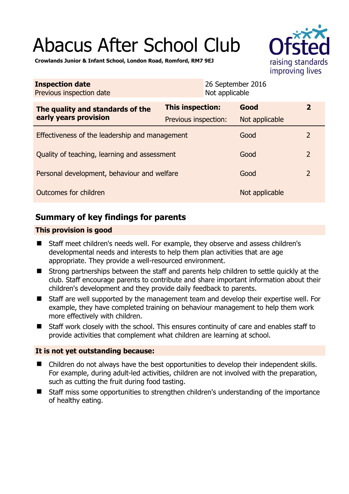# Abacus After School Club



**Crowlands Junior & Infant School, London Road, Romford, RM7 9EJ** 

| <b>Inspection date</b><br>Previous inspection date        |                         | 26 September 2016<br>Not applicable |                |                |
|-----------------------------------------------------------|-------------------------|-------------------------------------|----------------|----------------|
| The quality and standards of the<br>early years provision | <b>This inspection:</b> |                                     | Good           | $\overline{2}$ |
|                                                           | Previous inspection:    |                                     | Not applicable |                |
| Effectiveness of the leadership and management            |                         |                                     | Good           | 2              |
| Quality of teaching, learning and assessment              |                         |                                     | Good           | $\overline{2}$ |
| Personal development, behaviour and welfare               |                         |                                     | Good           | $\overline{2}$ |
| Outcomes for children                                     |                         |                                     | Not applicable |                |

# **Summary of key findings for parents**

## **This provision is good**

- Staff meet children's needs well. For example, they observe and assess children's developmental needs and interests to help them plan activities that are age appropriate. They provide a well-resourced environment.
- Strong partnerships between the staff and parents help children to settle quickly at the club. Staff encourage parents to contribute and share important information about their children's development and they provide daily feedback to parents.
- Staff are well supported by the management team and develop their expertise well. For example, they have completed training on behaviour management to help them work more effectively with children.
- Staff work closely with the school. This ensures continuity of care and enables staff to provide activities that complement what children are learning at school.

## **It is not yet outstanding because:**

- Children do not always have the best opportunities to develop their independent skills. For example, during adult-led activities, children are not involved with the preparation, such as cutting the fruit during food tasting.
- Staff miss some opportunities to strengthen children's understanding of the importance of healthy eating.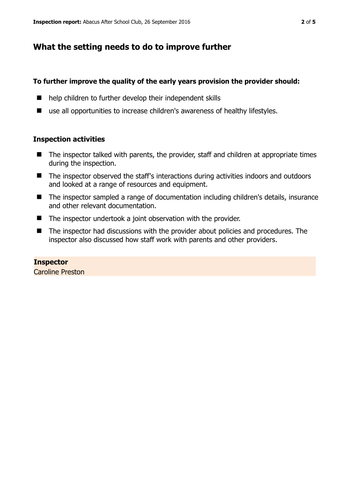## **What the setting needs to do to improve further**

#### **To further improve the quality of the early years provision the provider should:**

- help children to further develop their independent skills
- use all opportunities to increase children's awareness of healthy lifestyles.

#### **Inspection activities**

- The inspector talked with parents, the provider, staff and children at appropriate times during the inspection.
- The inspector observed the staff's interactions during activities indoors and outdoors and looked at a range of resources and equipment.
- The inspector sampled a range of documentation including children's details, insurance and other relevant documentation.
- The inspector undertook a joint observation with the provider.
- The inspector had discussions with the provider about policies and procedures. The inspector also discussed how staff work with parents and other providers.

#### **Inspector**  Caroline Preston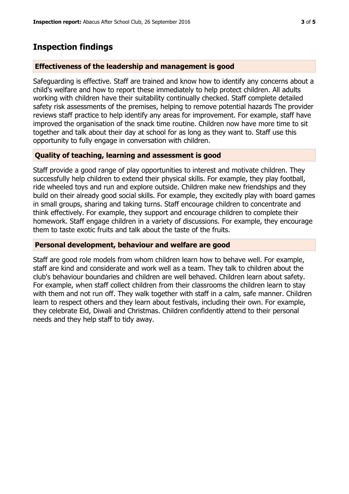## **Inspection findings**

#### **Effectiveness of the leadership and management is good**

Safeguarding is effective. Staff are trained and know how to identify any concerns about a child's welfare and how to report these immediately to help protect children. All adults working with children have their suitability continually checked. Staff complete detailed safety risk assessments of the premises, helping to remove potential hazards The provider reviews staff practice to help identify any areas for improvement. For example, staff have improved the organisation of the snack time routine. Children now have more time to sit together and talk about their day at school for as long as they want to. Staff use this opportunity to fully engage in conversation with children.

### **Quality of teaching, learning and assessment is good**

Staff provide a good range of play opportunities to interest and motivate children. They successfully help children to extend their physical skills. For example, they play football, ride wheeled toys and run and explore outside. Children make new friendships and they build on their already good social skills. For example, they excitedly play with board games in small groups, sharing and taking turns. Staff encourage children to concentrate and think effectively. For example, they support and encourage children to complete their homework. Staff engage children in a variety of discussions. For example, they encourage them to taste exotic fruits and talk about the taste of the fruits.

#### **Personal development, behaviour and welfare are good**

Staff are good role models from whom children learn how to behave well. For example, staff are kind and considerate and work well as a team. They talk to children about the club's behaviour boundaries and children are well behaved. Children learn about safety. For example, when staff collect children from their classrooms the children learn to stay with them and not run off. They walk together with staff in a calm, safe manner. Children learn to respect others and they learn about festivals, including their own. For example, they celebrate Eid, Diwali and Christmas. Children confidently attend to their personal needs and they help staff to tidy away.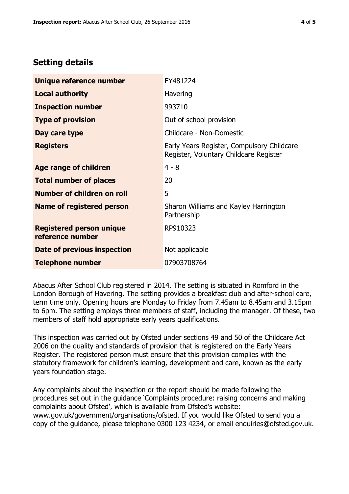# **Setting details**

| Unique reference number                             | EY481224                                                                             |  |
|-----------------------------------------------------|--------------------------------------------------------------------------------------|--|
| <b>Local authority</b>                              | Havering                                                                             |  |
| <b>Inspection number</b>                            | 993710                                                                               |  |
| <b>Type of provision</b>                            | Out of school provision                                                              |  |
| Day care type                                       | Childcare - Non-Domestic                                                             |  |
| <b>Registers</b>                                    | Early Years Register, Compulsory Childcare<br>Register, Voluntary Childcare Register |  |
| <b>Age range of children</b>                        | $4 - 8$                                                                              |  |
| <b>Total number of places</b>                       | 20                                                                                   |  |
| Number of children on roll                          | 5                                                                                    |  |
| <b>Name of registered person</b>                    | Sharon Williams and Kayley Harrington<br>Partnership                                 |  |
| <b>Registered person unique</b><br>reference number | RP910323                                                                             |  |
| Date of previous inspection                         | Not applicable                                                                       |  |
| <b>Telephone number</b>                             | 07903708764                                                                          |  |

Abacus After School Club registered in 2014. The setting is situated in Romford in the London Borough of Havering. The setting provides a breakfast club and after-school care, term time only. Opening hours are Monday to Friday from 7.45am to 8.45am and 3.15pm to 6pm. The setting employs three members of staff, including the manager. Of these, two members of staff hold appropriate early years qualifications.

This inspection was carried out by Ofsted under sections 49 and 50 of the Childcare Act 2006 on the quality and standards of provision that is registered on the Early Years Register. The registered person must ensure that this provision complies with the statutory framework for children's learning, development and care, known as the early years foundation stage.

Any complaints about the inspection or the report should be made following the procedures set out in the guidance 'Complaints procedure: raising concerns and making complaints about Ofsted', which is available from Ofsted's website: www.gov.uk/government/organisations/ofsted. If you would like Ofsted to send you a copy of the guidance, please telephone 0300 123 4234, or email enquiries@ofsted.gov.uk.